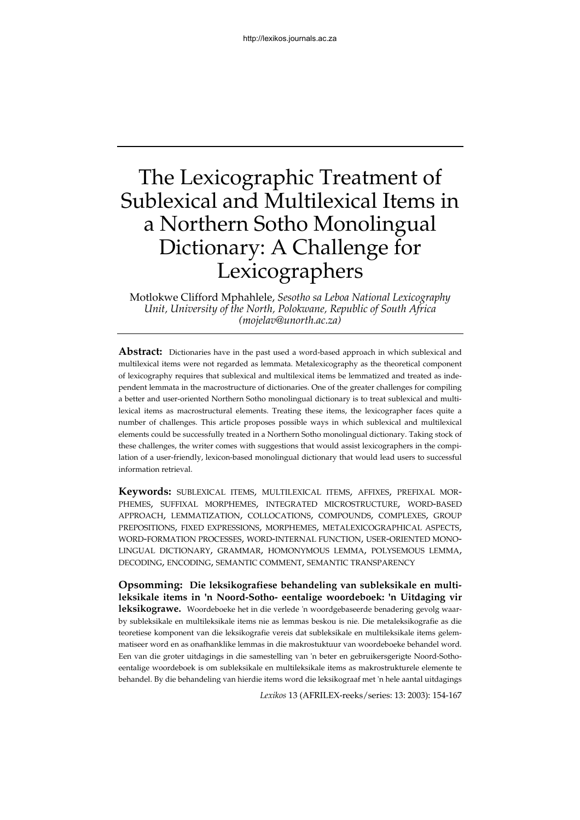# The Lexicographic Treatment of Sublexical and Multilexical Items in a Northern Sotho Monolingual Dictionary: A Challenge for Lexicographers

Motlokwe Clifford Mphahlele, *Sesotho sa Leboa National Lexicography Unit, University of the North, Polokwane, Republic of South Africa (mojelav@unorth.ac.za)*

Abstract: Dictionaries have in the past used a word-based approach in which sublexical and multilexical items were not regarded as lemmata. Metalexicography as the theoretical component of lexicography requires that sublexical and multilexical items be lemmatized and treated as independent lemmata in the macrostructure of dictionaries. One of the greater challenges for compiling a better and user-oriented Northern Sotho monolingual dictionary is to treat sublexical and multilexical items as macrostructural elements. Treating these items, the lexicographer faces quite a number of challenges. This article proposes possible ways in which sublexical and multilexical elements could be successfully treated in a Northern Sotho monolingual dictionary. Taking stock of these challenges, the writer comes with suggestions that would assist lexicographers in the compilation of a user-friendly, lexicon-based monolingual dictionary that would lead users to successful information retrieval.

**Keywords:** SUBLEXICAL ITEMS, MULTILEXICAL ITEMS, AFFIXES, PREFIXAL MOR-PHEMES, SUFFIXAL MORPHEMES, INTEGRATED MICROSTRUCTURE, WORD-BASED APPROACH, LEMMATIZATION, COLLOCATIONS, COMPOUNDS, COMPLEXES, GROUP PREPOSITIONS, FIXED EXPRESSIONS, MORPHEMES, METALEXICOGRAPHICAL ASPECTS, WORD-FORMATION PROCESSES, WORD-INTERNAL FUNCTION, USER-ORIENTED MONO-LINGUAL DICTIONARY, GRAMMAR, HOMONYMOUS LEMMA, POLYSEMOUS LEMMA, DECODING, ENCODING, SEMANTIC COMMENT, SEMANTIC TRANSPARENCY

**Opsomming: Die leksikografiese behandeling van subleksikale en multileksikale items in 'n Noord-Sotho- eentalige woordeboek: 'n Uitdaging vir leksikograwe.** Woordeboeke het in die verlede 'n woordgebaseerde benadering gevolg waarby subleksikale en multileksikale items nie as lemmas beskou is nie. Die metaleksikografie as die teoretiese komponent van die leksikografie vereis dat subleksikale en multileksikale items gelemmatiseer word en as onafhanklike lemmas in die makrostuktuur van woordeboeke behandel word. Een van die groter uitdagings in die samestelling van 'n beter en gebruikersgerigte Noord-Sothoeentalige woordeboek is om subleksikale en multileksikale items as makrostrukturele elemente te behandel. By die behandeling van hierdie items word die leksikograaf met 'n hele aantal uitdagings

*Lexikos* 13 (AFRILEX-reeks/series: 13: 2003): 154-167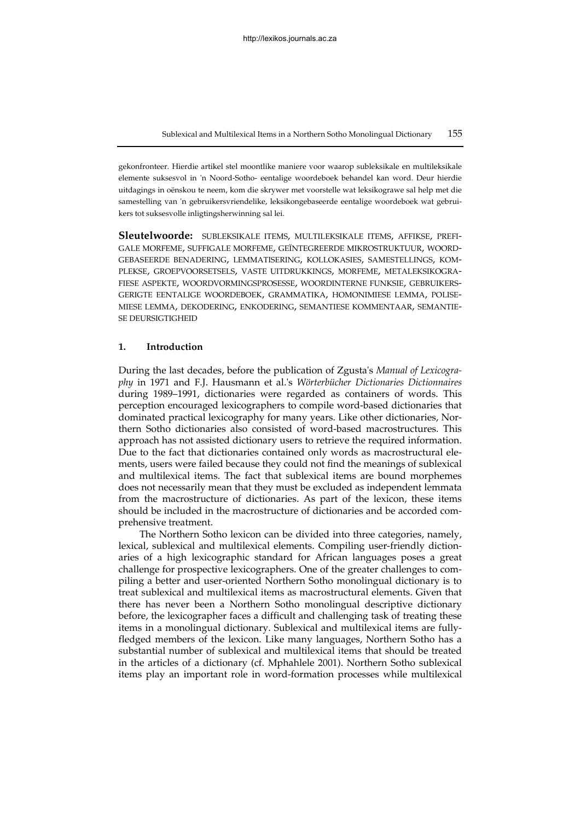gekonfronteer. Hierdie artikel stel moontlike maniere voor waarop subleksikale en multileksikale elemente suksesvol in 'n Noord-Sotho- eentalige woordeboek behandel kan word. Deur hierdie uitdagings in oënskou te neem, kom die skrywer met voorstelle wat leksikograwe sal help met die samestelling van 'n gebruikersvriendelike, leksikongebaseerde eentalige woordeboek wat gebruikers tot suksesvolle inligtingsherwinning sal lei.

**Sleutelwoorde:** SUBLEKSIKALE ITEMS, MULTILEKSIKALE ITEMS, AFFIKSE, PREFI-GALE MORFEME, SUFFIGALE MORFEME, GEÏNTEGREERDE MIKROSTRUKTUUR, WOORD-GEBASEERDE BENADERING, LEMMATISERING, KOLLOKASIES, SAMESTELLINGS, KOM-PLEKSE, GROEPVOORSETSELS, VASTE UITDRUKKINGS, MORFEME, METALEKSIKOGRA-FIESE ASPEKTE, WOORDVORMINGSPROSESSE, WOORDINTERNE FUNKSIE, GEBRUIKERS-GERIGTE EENTALIGE WOORDEBOEK, GRAMMATIKA, HOMONIMIESE LEMMA, POLISE-MIESE LEMMA, DEKODERING, ENKODERING, SEMANTIESE KOMMENTAAR, SEMANTIE-SE DEURSIGTIGHEID

#### **1. Introduction**

During the last decades, before the publication of Zgusta's *Manual of Lexicography* in 1971 and F.J. Hausmann et al.'s *Wörterbücher Dictionaries Dictionnaires*  during 1989–1991, dictionaries were regarded as containers of words. This perception encouraged lexicographers to compile word-based dictionaries that dominated practical lexicography for many years. Like other dictionaries, Northern Sotho dictionaries also consisted of word-based macrostructures. This approach has not assisted dictionary users to retrieve the required information. Due to the fact that dictionaries contained only words as macrostructural elements, users were failed because they could not find the meanings of sublexical and multilexical items. The fact that sublexical items are bound morphemes does not necessarily mean that they must be excluded as independent lemmata from the macrostructure of dictionaries. As part of the lexicon, these items should be included in the macrostructure of dictionaries and be accorded comprehensive treatment.

The Northern Sotho lexicon can be divided into three categories, namely, lexical, sublexical and multilexical elements. Compiling user-friendly dictionaries of a high lexicographic standard for African languages poses a great challenge for prospective lexicographers. One of the greater challenges to compiling a better and user-oriented Northern Sotho monolingual dictionary is to treat sublexical and multilexical items as macrostructural elements. Given that there has never been a Northern Sotho monolingual descriptive dictionary before, the lexicographer faces a difficult and challenging task of treating these items in a monolingual dictionary. Sublexical and multilexical items are fullyfledged members of the lexicon. Like many languages, Northern Sotho has a substantial number of sublexical and multilexical items that should be treated in the articles of a dictionary (cf. Mphahlele 2001). Northern Sotho sublexical items play an important role in word-formation processes while multilexical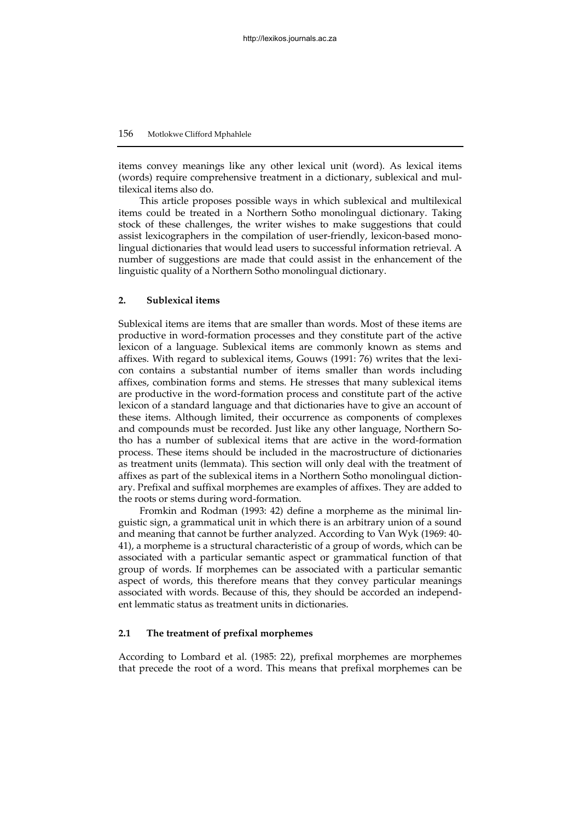items convey meanings like any other lexical unit (word). As lexical items (words) require comprehensive treatment in a dictionary, sublexical and multilexical items also do.

This article proposes possible ways in which sublexical and multilexical items could be treated in a Northern Sotho monolingual dictionary. Taking stock of these challenges, the writer wishes to make suggestions that could assist lexicographers in the compilation of user-friendly, lexicon-based monolingual dictionaries that would lead users to successful information retrieval. A number of suggestions are made that could assist in the enhancement of the linguistic quality of a Northern Sotho monolingual dictionary.

# **2. Sublexical items**

Sublexical items are items that are smaller than words. Most of these items are productive in word-formation processes and they constitute part of the active lexicon of a language. Sublexical items are commonly known as stems and affixes. With regard to sublexical items, Gouws (1991: 76) writes that the lexicon contains a substantial number of items smaller than words including affixes, combination forms and stems. He stresses that many sublexical items are productive in the word-formation process and constitute part of the active lexicon of a standard language and that dictionaries have to give an account of these items. Although limited, their occurrence as components of complexes and compounds must be recorded. Just like any other language, Northern Sotho has a number of sublexical items that are active in the word-formation process. These items should be included in the macrostructure of dictionaries as treatment units (lemmata). This section will only deal with the treatment of affixes as part of the sublexical items in a Northern Sotho monolingual dictionary. Prefixal and suffixal morphemes are examples of affixes. They are added to the roots or stems during word-formation.

Fromkin and Rodman (1993: 42) define a morpheme as the minimal linguistic sign, a grammatical unit in which there is an arbitrary union of a sound and meaning that cannot be further analyzed. According to Van Wyk (1969: 40- 41), a morpheme is a structural characteristic of a group of words, which can be associated with a particular semantic aspect or grammatical function of that group of words. If morphemes can be associated with a particular semantic aspect of words, this therefore means that they convey particular meanings associated with words. Because of this, they should be accorded an independent lemmatic status as treatment units in dictionaries.

### **2.1 The treatment of prefixal morphemes**

According to Lombard et al. (1985: 22), prefixal morphemes are morphemes that precede the root of a word. This means that prefixal morphemes can be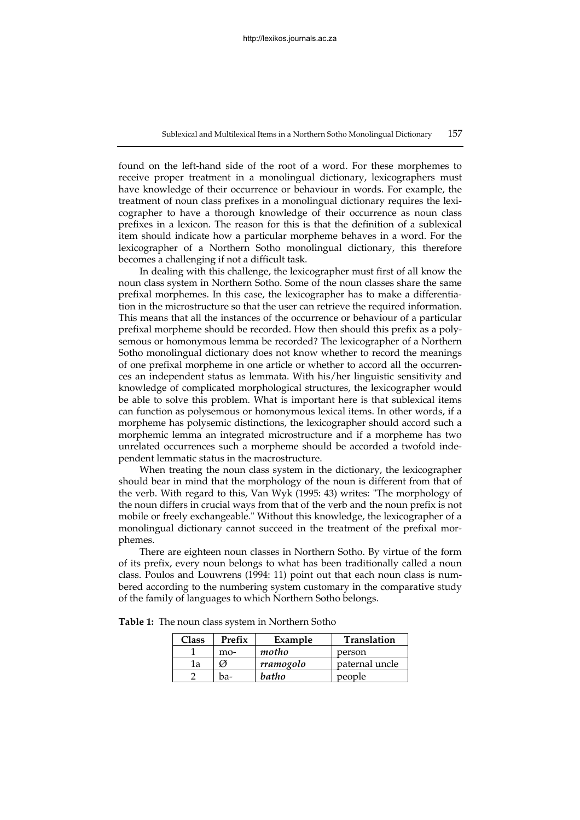found on the left-hand side of the root of a word. For these morphemes to receive proper treatment in a monolingual dictionary, lexicographers must have knowledge of their occurrence or behaviour in words. For example, the treatment of noun class prefixes in a monolingual dictionary requires the lexicographer to have a thorough knowledge of their occurrence as noun class prefixes in a lexicon. The reason for this is that the definition of a sublexical item should indicate how a particular morpheme behaves in a word. For the lexicographer of a Northern Sotho monolingual dictionary, this therefore becomes a challenging if not a difficult task.

In dealing with this challenge, the lexicographer must first of all know the noun class system in Northern Sotho. Some of the noun classes share the same prefixal morphemes. In this case, the lexicographer has to make a differentiation in the microstructure so that the user can retrieve the required information. This means that all the instances of the occurrence or behaviour of a particular prefixal morpheme should be recorded. How then should this prefix as a polysemous or homonymous lemma be recorded? The lexicographer of a Northern Sotho monolingual dictionary does not know whether to record the meanings of one prefixal morpheme in one article or whether to accord all the occurrences an independent status as lemmata. With his/her linguistic sensitivity and knowledge of complicated morphological structures, the lexicographer would be able to solve this problem. What is important here is that sublexical items can function as polysemous or homonymous lexical items. In other words, if a morpheme has polysemic distinctions, the lexicographer should accord such a morphemic lemma an integrated microstructure and if a morpheme has two unrelated occurrences such a morpheme should be accorded a twofold independent lemmatic status in the macrostructure.

When treating the noun class system in the dictionary, the lexicographer should bear in mind that the morphology of the noun is different from that of the verb. With regard to this, Van Wyk (1995: 43) writes: "The morphology of the noun differs in crucial ways from that of the verb and the noun prefix is not mobile or freely exchangeable." Without this knowledge, the lexicographer of a monolingual dictionary cannot succeed in the treatment of the prefixal morphemes.

There are eighteen noun classes in Northern Sotho. By virtue of the form of its prefix, every noun belongs to what has been traditionally called a noun class. Poulos and Louwrens (1994: 11) point out that each noun class is numbered according to the numbering system customary in the comparative study of the family of languages to which Northern Sotho belongs.

| Class | Prefix | Example   | <b>Translation</b> |
|-------|--------|-----------|--------------------|
|       | mo-    | motho     | person             |
| 1a    | Ø      | rramogolo | paternal uncle     |
|       |        | batho     | people             |

**Table 1:** The noun class system in Northern Sotho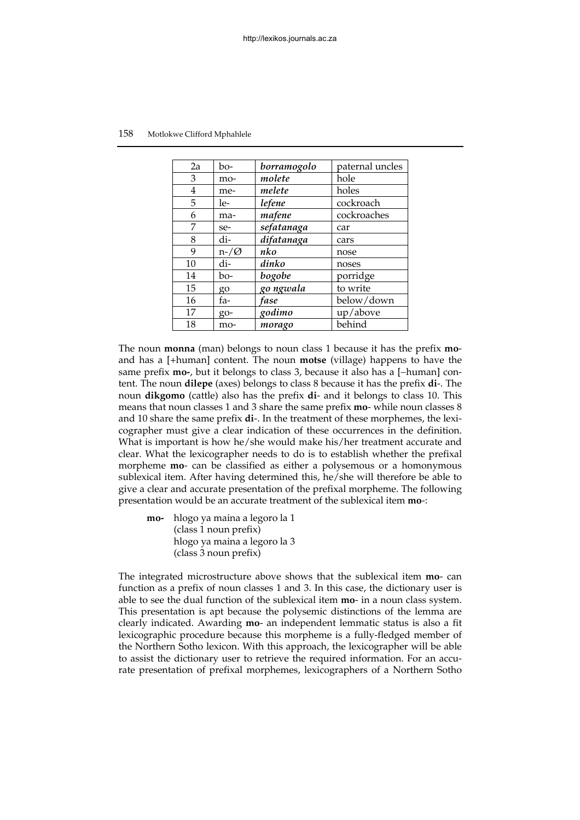| 2a | bo-          | borramogolo | paternal uncles |
|----|--------------|-------------|-----------------|
| 3  | mo-          | molete      | hole            |
| 4  | me-          | melete      | holes           |
| 5  | le-          | lefene      | cockroach       |
| 6  | ma-          | mafene      | cockroaches     |
| 7  | se-          | sefatanaga  | car             |
| 8  | di-          | difatanaga  | cars            |
| 9  | $n-\sqrt{Q}$ | nko         | nose            |
| 10 | di-          | dinko       | noses           |
| 14 | bo-          | bogobe      | porridge        |
| 15 | go           | go ngwala   | to write        |
| 16 | fa-          | fase        | below/down      |
| 17 | $g_{0}$ -    | godimo      | up/above        |
| 18 | mo-          | morago      | behind          |

## 158 Motlokwe Clifford Mphahlele

The noun **monna** (man) belongs to noun class 1 because it has the prefix **mo**and has a [+human] content. The noun **motse** (village) happens to have the same prefix **mo-**, but it belongs to class 3, because it also has a [−human] content. The noun **dilepe** (axes) belongs to class 8 because it has the prefix **di**-. The noun **dikgomo** (cattle) also has the prefix **di**- and it belongs to class 10. This means that noun classes 1 and 3 share the same prefix **mo**- while noun classes 8 and 10 share the same prefix **di**-. In the treatment of these morphemes, the lexicographer must give a clear indication of these occurrences in the definition. What is important is how he/she would make his/her treatment accurate and clear. What the lexicographer needs to do is to establish whether the prefixal morpheme **mo**- can be classified as either a polysemous or a homonymous sublexical item. After having determined this, he/she will therefore be able to give a clear and accurate presentation of the prefixal morpheme. The following presentation would be an accurate treatment of the sublexical item **mo**-:

 **mo-** hlogo ya maina a legoro la 1 (class 1 noun prefix) hlogo ya maina a legoro la 3 (class 3 noun prefix)

The integrated microstructure above shows that the sublexical item **mo**- can function as a prefix of noun classes 1 and 3. In this case, the dictionary user is able to see the dual function of the sublexical item **mo**- in a noun class system. This presentation is apt because the polysemic distinctions of the lemma are clearly indicated. Awarding **mo**- an independent lemmatic status is also a fit lexicographic procedure because this morpheme is a fully-fledged member of the Northern Sotho lexicon. With this approach, the lexicographer will be able to assist the dictionary user to retrieve the required information. For an accurate presentation of prefixal morphemes, lexicographers of a Northern Sotho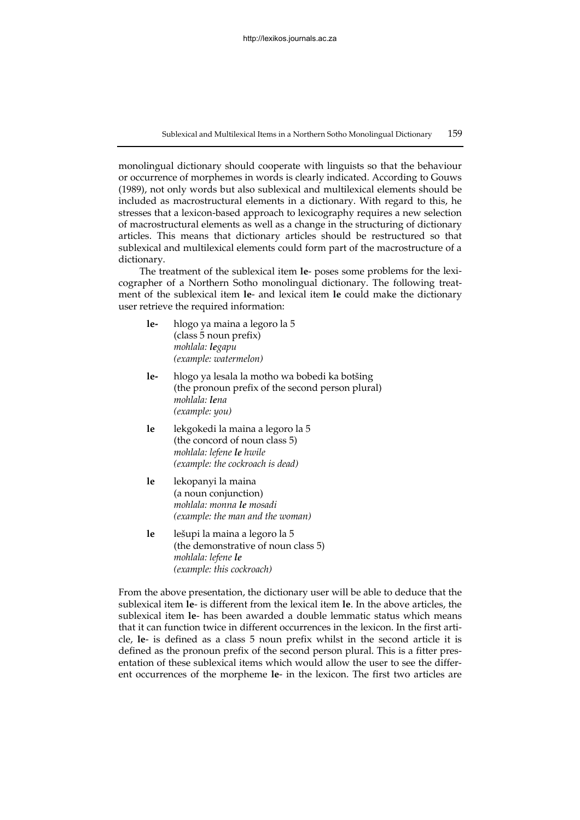Sublexical and Multilexical Items in a Northern Sotho Monolingual Dictionary 159

monolingual dictionary should cooperate with linguists so that the behaviour or occurrence of morphemes in words is clearly indicated. According to Gouws (1989), not only words but also sublexical and multilexical elements should be included as macrostructural elements in a dictionary. With regard to this, he stresses that a lexicon-based approach to lexicography requires a new selection of macrostructural elements as well as a change in the structuring of dictionary articles. This means that dictionary articles should be restructured so that sublexical and multilexical elements could form part of the macrostructure of a dictionary.

The treatment of the sublexical item **le**- poses some problems for the lexicographer of a Northern Sotho monolingual dictionary. The following treatment of the sublexical item **le**- and lexical item **le** could make the dictionary user retrieve the required information:

- **le-** hlogo ya maina a legoro la 5 (class 5 noun prefix)  *mohlala: legapu (example: watermelon)*
- **le-** hlogo ya lesala la motho wa bobedi ka botšing (the pronoun prefix of the second person plural) *mohlala: lena (example: you)*
- **le** lekgokedi la maina a legoro la 5 (the concord of noun class 5) *mohlala: lefene le hwile (example: the cockroach is dead)*
- **le** lekopanyi la maina (a noun conjunction)  *mohlala: monna le mosadi (example: the man and the woman)*
- **le** lešupi la maina a legoro la 5 (the demonstrative of noun class 5) *mohlala: lefene le (example: this cockroach)*

From the above presentation, the dictionary user will be able to deduce that the sublexical item **le**- is different from the lexical item **le**. In the above articles, the sublexical item **le**- has been awarded a double lemmatic status which means that it can function twice in different occurrences in the lexicon. In the first article, **le**- is defined as a class 5 noun prefix whilst in the second article it is defined as the pronoun prefix of the second person plural. This is a fitter presentation of these sublexical items which would allow the user to see the different occurrences of the morpheme **le**- in the lexicon. The first two articles are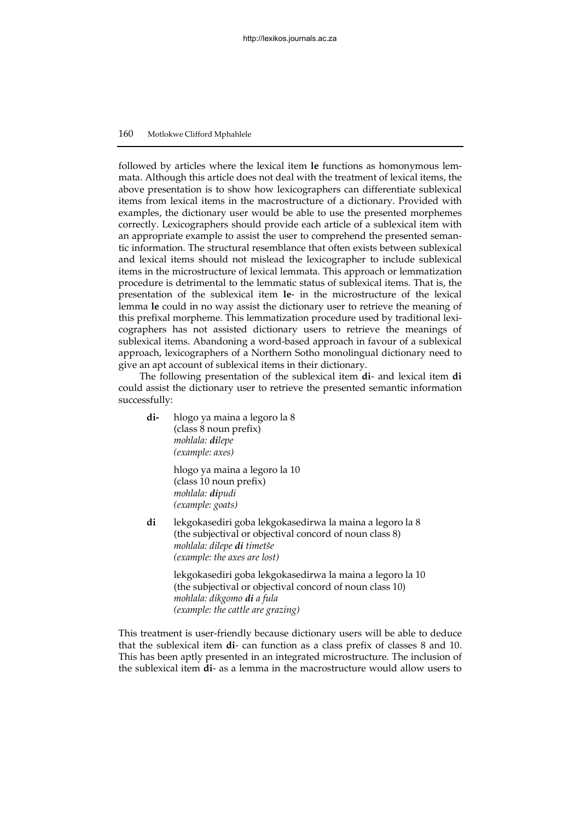followed by articles where the lexical item **le** functions as homonymous lemmata. Although this article does not deal with the treatment of lexical items, the above presentation is to show how lexicographers can differentiate sublexical items from lexical items in the macrostructure of a dictionary. Provided with examples, the dictionary user would be able to use the presented morphemes correctly. Lexicographers should provide each article of a sublexical item with an appropriate example to assist the user to comprehend the presented semantic information. The structural resemblance that often exists between sublexical and lexical items should not mislead the lexicographer to include sublexical items in the microstructure of lexical lemmata. This approach or lemmatization procedure is detrimental to the lemmatic status of sublexical items. That is, the presentation of the sublexical item **le**- in the microstructure of the lexical lemma **le** could in no way assist the dictionary user to retrieve the meaning of this prefixal morpheme. This lemmatization procedure used by traditional lexicographers has not assisted dictionary users to retrieve the meanings of sublexical items. Abandoning a word-based approach in favour of a sublexical approach, lexicographers of a Northern Sotho monolingual dictionary need to give an apt account of sublexical items in their dictionary.

The following presentation of the sublexical item **di**- and lexical item **di** could assist the dictionary user to retrieve the presented semantic information successfully:

 **di-** hlogo ya maina a legoro la 8 (class 8 noun prefix) *mohlala: dilepe (example: axes)* 

> hlogo ya maina a legoro la 10 (class 10 noun prefix) *mohlala: dipudi (example: goats)*

 **di** lekgokasediri goba lekgokasedirwa la maina a legoro la 8 (the subjectival or objectival concord of noun class 8) *mohlala: dilepe di timetše (example: the axes are lost)* 

 lekgokasediri goba lekgokasedirwa la maina a legoro la 10 (the subjectival or objectival concord of noun class 10) *mohlala: dikgomo di a fula (example: the cattle are grazing)* 

This treatment is user-friendly because dictionary users will be able to deduce that the sublexical item **di**- can function as a class prefix of classes 8 and 10. This has been aptly presented in an integrated microstructure. The inclusion of the sublexical item **di**- as a lemma in the macrostructure would allow users to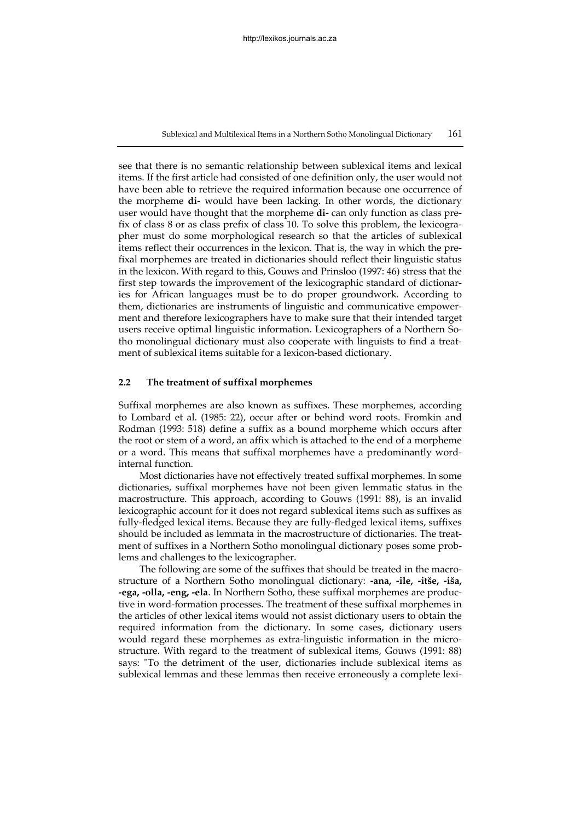see that there is no semantic relationship between sublexical items and lexical items. If the first article had consisted of one definition only, the user would not have been able to retrieve the required information because one occurrence of the morpheme **di**- would have been lacking. In other words, the dictionary user would have thought that the morpheme **di**- can only function as class prefix of class 8 or as class prefix of class 10. To solve this problem, the lexicographer must do some morphological research so that the articles of sublexical items reflect their occurrences in the lexicon. That is, the way in which the prefixal morphemes are treated in dictionaries should reflect their linguistic status in the lexicon. With regard to this, Gouws and Prinsloo (1997: 46) stress that the first step towards the improvement of the lexicographic standard of dictionaries for African languages must be to do proper groundwork. According to them, dictionaries are instruments of linguistic and communicative empowerment and therefore lexicographers have to make sure that their intended target users receive optimal linguistic information. Lexicographers of a Northern Sotho monolingual dictionary must also cooperate with linguists to find a treatment of sublexical items suitable for a lexicon-based dictionary.

# **2.2 The treatment of suffixal morphemes**

Suffixal morphemes are also known as suffixes. These morphemes, according to Lombard et al. (1985: 22), occur after or behind word roots. Fromkin and Rodman (1993: 518) define a suffix as a bound morpheme which occurs after the root or stem of a word, an affix which is attached to the end of a morpheme or a word. This means that suffixal morphemes have a predominantly wordinternal function.

Most dictionaries have not effectively treated suffixal morphemes. In some dictionaries, suffixal morphemes have not been given lemmatic status in the macrostructure. This approach, according to Gouws (1991: 88), is an invalid lexicographic account for it does not regard sublexical items such as suffixes as fully-fledged lexical items. Because they are fully-fledged lexical items, suffixes should be included as lemmata in the macrostructure of dictionaries. The treatment of suffixes in a Northern Sotho monolingual dictionary poses some problems and challenges to the lexicographer.

The following are some of the suffixes that should be treated in the macrostructure of a Northern Sotho monolingual dictionary: **-ana, -ile, -itše, -iša, -ega, -olla, -eng, -ela**. In Northern Sotho, these suffixal morphemes are productive in word-formation processes. The treatment of these suffixal morphemes in the articles of other lexical items would not assist dictionary users to obtain the required information from the dictionary. In some cases, dictionary users would regard these morphemes as extra-linguistic information in the microstructure. With regard to the treatment of sublexical items, Gouws (1991: 88) says: "To the detriment of the user, dictionaries include sublexical items as sublexical lemmas and these lemmas then receive erroneously a complete lexi-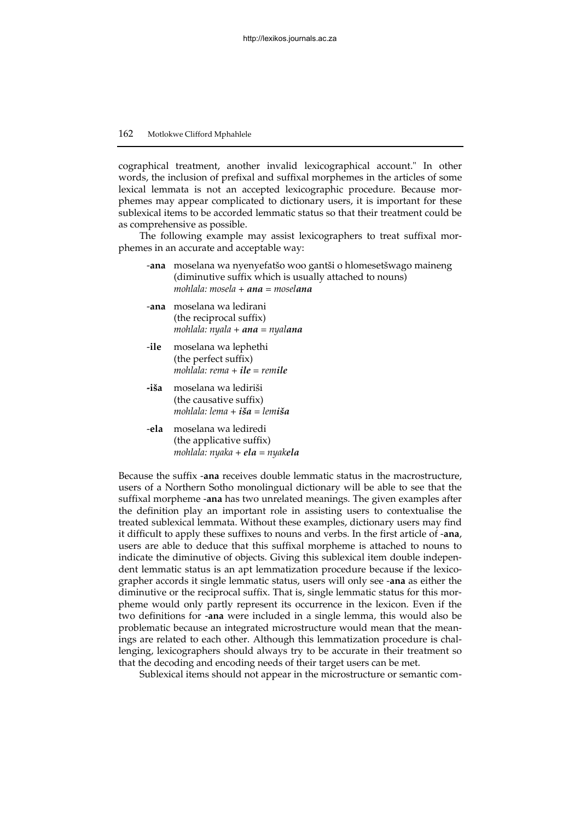### 162 Motlokwe Clifford Mphahlele

cographical treatment, another invalid lexicographical account." In other words, the inclusion of prefixal and suffixal morphemes in the articles of some lexical lemmata is not an accepted lexicographic procedure. Because morphemes may appear complicated to dictionary users, it is important for these sublexical items to be accorded lemmatic status so that their treatment could be as comprehensive as possible.

The following example may assist lexicographers to treat suffixal morphemes in an accurate and acceptable way:

- -**ana** moselana wa nyenyefatšo woo gantši o hlomesetšwago maineng (diminutive suffix which is usually attached to nouns)  *mohlala: mosela + ana = moselana*
- -**ana** moselana wa ledirani (the reciprocal suffix) *mohlala: nyala + ana = nyalana*
- -**ile** moselana wa lephethi (the perfect suffix)  *mohlala: rema + ile = remile*
- **-iša** moselana wa lediriši (the causative suffix) *mohlala: lema + iša = lemiša*
- -**ela** moselana wa lediredi (the applicative suffix)  *mohlala: nyaka + ela = nyakela*

Because the suffix -**ana** receives double lemmatic status in the macrostructure, users of a Northern Sotho monolingual dictionary will be able to see that the suffixal morpheme -**ana** has two unrelated meanings. The given examples after the definition play an important role in assisting users to contextualise the treated sublexical lemmata. Without these examples, dictionary users may find it difficult to apply these suffixes to nouns and verbs. In the first article of -**ana**, users are able to deduce that this suffixal morpheme is attached to nouns to indicate the diminutive of objects. Giving this sublexical item double independent lemmatic status is an apt lemmatization procedure because if the lexicographer accords it single lemmatic status, users will only see -**ana** as either the diminutive or the reciprocal suffix. That is, single lemmatic status for this morpheme would only partly represent its occurrence in the lexicon. Even if the two definitions for -**ana** were included in a single lemma, this would also be problematic because an integrated microstructure would mean that the meanings are related to each other. Although this lemmatization procedure is challenging, lexicographers should always try to be accurate in their treatment so that the decoding and encoding needs of their target users can be met.

Sublexical items should not appear in the microstructure or semantic com-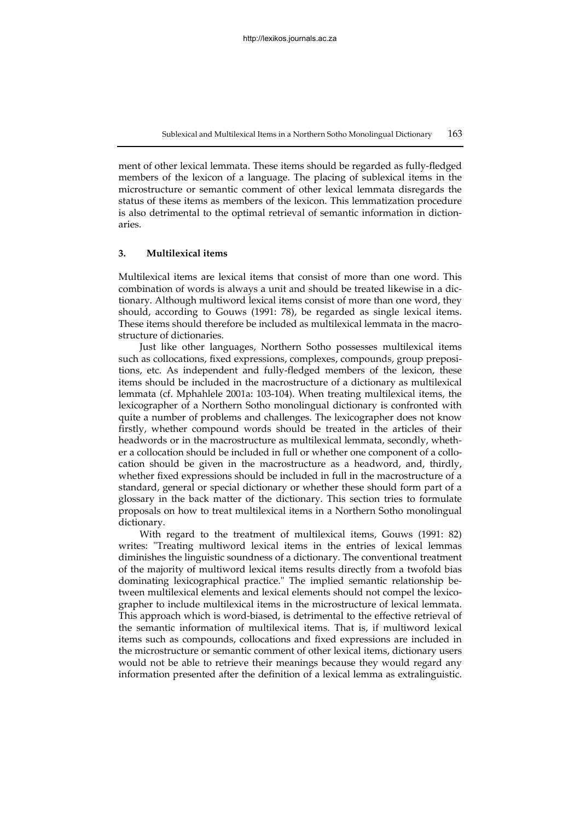ment of other lexical lemmata. These items should be regarded as fully-fledged members of the lexicon of a language. The placing of sublexical items in the microstructure or semantic comment of other lexical lemmata disregards the status of these items as members of the lexicon. This lemmatization procedure is also detrimental to the optimal retrieval of semantic information in dictionaries.

# **3. Multilexical items**

Multilexical items are lexical items that consist of more than one word. This combination of words is always a unit and should be treated likewise in a dictionary. Although multiword lexical items consist of more than one word, they should, according to Gouws (1991: 78), be regarded as single lexical items. These items should therefore be included as multilexical lemmata in the macrostructure of dictionaries.

Just like other languages, Northern Sotho possesses multilexical items such as collocations, fixed expressions, complexes, compounds, group prepositions, etc. As independent and fully-fledged members of the lexicon, these items should be included in the macrostructure of a dictionary as multilexical lemmata (cf. Mphahlele 2001a: 103-104). When treating multilexical items, the lexicographer of a Northern Sotho monolingual dictionary is confronted with quite a number of problems and challenges. The lexicographer does not know firstly, whether compound words should be treated in the articles of their headwords or in the macrostructure as multilexical lemmata, secondly, whether a collocation should be included in full or whether one component of a collocation should be given in the macrostructure as a headword, and, thirdly, whether fixed expressions should be included in full in the macrostructure of a standard, general or special dictionary or whether these should form part of a glossary in the back matter of the dictionary. This section tries to formulate proposals on how to treat multilexical items in a Northern Sotho monolingual dictionary.

With regard to the treatment of multilexical items, Gouws (1991: 82) writes: "Treating multiword lexical items in the entries of lexical lemmas diminishes the linguistic soundness of a dictionary. The conventional treatment of the majority of multiword lexical items results directly from a twofold bias dominating lexicographical practice." The implied semantic relationship between multilexical elements and lexical elements should not compel the lexicographer to include multilexical items in the microstructure of lexical lemmata. This approach which is word-biased, is detrimental to the effective retrieval of the semantic information of multilexical items. That is, if multiword lexical items such as compounds, collocations and fixed expressions are included in the microstructure or semantic comment of other lexical items, dictionary users would not be able to retrieve their meanings because they would regard any information presented after the definition of a lexical lemma as extralinguistic.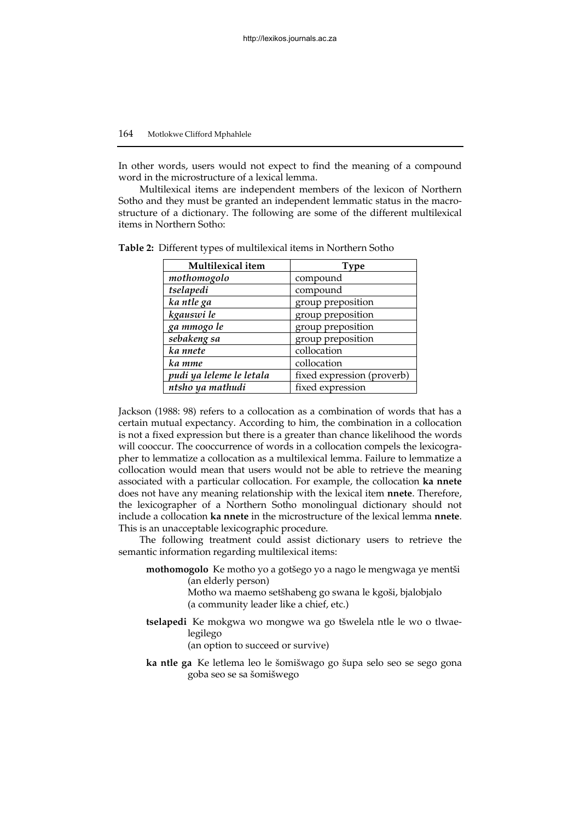In other words, users would not expect to find the meaning of a compound word in the microstructure of a lexical lemma.

Multilexical items are independent members of the lexicon of Northern Sotho and they must be granted an independent lemmatic status in the macrostructure of a dictionary. The following are some of the different multilexical items in Northern Sotho:

| <b>Multilexical item</b> | <b>Type</b>                |  |
|--------------------------|----------------------------|--|
| mothomogolo              | compound                   |  |
| tselapedi                | compound                   |  |
| ka ntle ga               | group preposition          |  |
| kgauswi le               | group preposition          |  |
| ga mmogo le              | group preposition          |  |
| sebakeng sa              | group preposition          |  |
| ka nnete                 | collocation                |  |
| ka mme                   | collocation                |  |
| pudi ya leleme le letala | fixed expression (proverb) |  |
| ntsho ya mathudi         | fixed expression           |  |

**Table 2:** Different types of multilexical items in Northern Sotho

Jackson (1988: 98) refers to a collocation as a combination of words that has a certain mutual expectancy. According to him, the combination in a collocation is not a fixed expression but there is a greater than chance likelihood the words will cooccur. The cooccurrence of words in a collocation compels the lexicographer to lemmatize a collocation as a multilexical lemma. Failure to lemmatize a collocation would mean that users would not be able to retrieve the meaning associated with a particular collocation. For example, the collocation **ka nnete**  does not have any meaning relationship with the lexical item **nnete**. Therefore, the lexicographer of a Northern Sotho monolingual dictionary should not include a collocation **ka nnete** in the microstructure of the lexical lemma **nnete**. This is an unacceptable lexicographic procedure.

The following treatment could assist dictionary users to retrieve the semantic information regarding multilexical items:

 **mothomogolo** Ke motho yo a gotšego yo a nago le mengwaga ye mentši (an elderly person)

 Motho wa maemo setšhabeng go swana le kgoši, bjalobjalo (a community leader like a chief, etc.)

 **tselapedi** Ke mokgwa wo mongwe wa go tšwelela ntle le wo o tlwaelegilego

(an option to succeed or survive)

 **ka ntle ga** Ke letlema leo le šomišwago go šupa selo seo se sego gona goba seo se sa šomišwego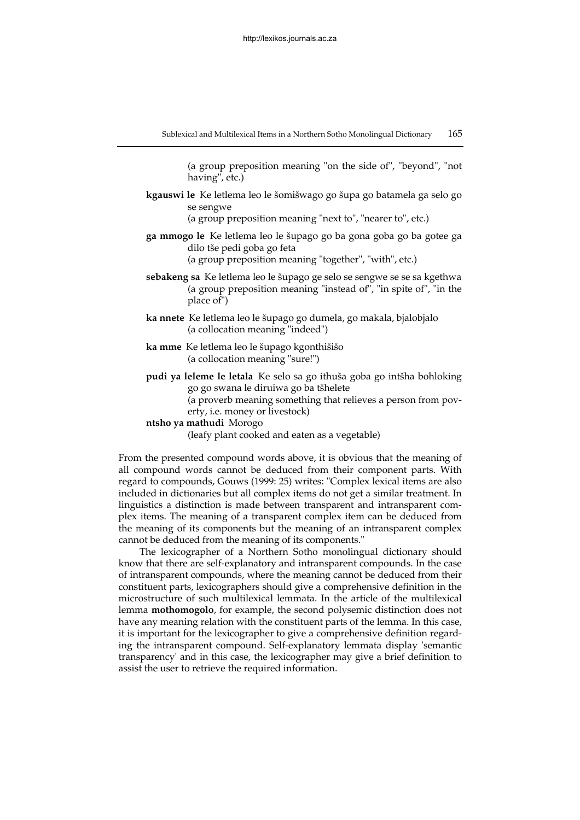(a group preposition meaning "on the side of", "beyond", "not having", etc.)

 **kgauswi le** Ke letlema leo le šomišwago go šupa go batamela ga selo go se sengwe

(a group preposition meaning "next to", "nearer to", etc.)

 **ga mmogo le** Ke letlema leo le šupago go ba gona goba go ba gotee ga dilo tše pedi goba go feta

(a group preposition meaning "together", "with", etc.)

- **sebakeng sa** Ke letlema leo le šupago ge selo se sengwe se se sa kgethwa (a group preposition meaning "instead of", "in spite of", "in the place of")
- **ka nnete** Ke letlema leo le šupago go dumela, go makala, bjalobjalo (a collocation meaning "indeed")
- **ka mme** Ke letlema leo le šupago kgonthišišo (a collocation meaning "sure!")
- **pudi ya leleme le letala** Ke selo sa go ithuša goba go intšha bohloking go go swana le diruiwa go ba tšhelete

 (a proverb meaning something that relieves a person from poverty, i.e. money or livestock)

 **ntsho ya mathudi** Morogo

(leafy plant cooked and eaten as a vegetable)

From the presented compound words above, it is obvious that the meaning of all compound words cannot be deduced from their component parts. With regard to compounds, Gouws (1999: 25) writes: "Complex lexical items are also included in dictionaries but all complex items do not get a similar treatment. In linguistics a distinction is made between transparent and intransparent complex items. The meaning of a transparent complex item can be deduced from the meaning of its components but the meaning of an intransparent complex cannot be deduced from the meaning of its components."

The lexicographer of a Northern Sotho monolingual dictionary should know that there are self-explanatory and intransparent compounds. In the case of intransparent compounds, where the meaning cannot be deduced from their constituent parts, lexicographers should give a comprehensive definition in the microstructure of such multilexical lemmata. In the article of the multilexical lemma **mothomogolo**, for example, the second polysemic distinction does not have any meaning relation with the constituent parts of the lemma. In this case, it is important for the lexicographer to give a comprehensive definition regarding the intransparent compound. Self-explanatory lemmata display 'semantic transparency' and in this case, the lexicographer may give a brief definition to assist the user to retrieve the required information.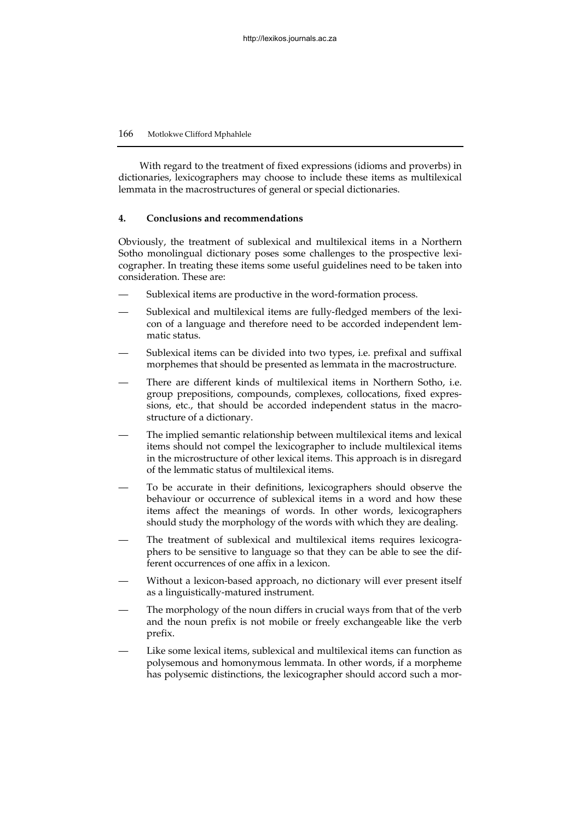# 166 Motlokwe Clifford Mphahlele

With regard to the treatment of fixed expressions (idioms and proverbs) in dictionaries, lexicographers may choose to include these items as multilexical lemmata in the macrostructures of general or special dictionaries.

# **4. Conclusions and recommendations**

Obviously, the treatment of sublexical and multilexical items in a Northern Sotho monolingual dictionary poses some challenges to the prospective lexicographer. In treating these items some useful guidelines need to be taken into consideration. These are:

- Sublexical items are productive in the word-formation process.
- Sublexical and multilexical items are fully-fledged members of the lexicon of a language and therefore need to be accorded independent lemmatic status.
- Sublexical items can be divided into two types, i.e. prefixal and suffixal morphemes that should be presented as lemmata in the macrostructure.
- There are different kinds of multilexical items in Northern Sotho, i.e. group prepositions, compounds, complexes, collocations, fixed expressions, etc., that should be accorded independent status in the macrostructure of a dictionary.
- The implied semantic relationship between multilexical items and lexical items should not compel the lexicographer to include multilexical items in the microstructure of other lexical items. This approach is in disregard of the lemmatic status of multilexical items.
- To be accurate in their definitions, lexicographers should observe the behaviour or occurrence of sublexical items in a word and how these items affect the meanings of words. In other words, lexicographers should study the morphology of the words with which they are dealing.
- The treatment of sublexical and multilexical items requires lexicographers to be sensitive to language so that they can be able to see the different occurrences of one affix in a lexicon.
- Without a lexicon-based approach, no dictionary will ever present itself as a linguistically-matured instrument.
- The morphology of the noun differs in crucial ways from that of the verb and the noun prefix is not mobile or freely exchangeable like the verb prefix.
- Like some lexical items, sublexical and multilexical items can function as polysemous and homonymous lemmata. In other words, if a morpheme has polysemic distinctions, the lexicographer should accord such a mor-